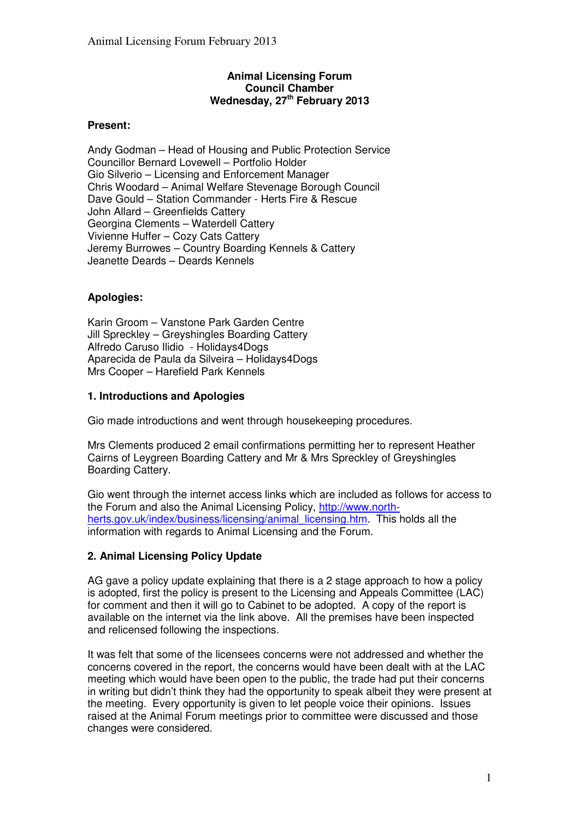# **Animal Licensing Forum Council Chamber Wednesday, 27 th February 2013**

# **Present:**

Andy Godman – Head of Housing and Public Protection Service Councillor Bernard Lovewell – Portfolio Holder Gio Silverio – Licensing and Enforcement Manager Chris Woodard – Animal Welfare Stevenage Borough Council Dave Gould – Station Commander - Herts Fire & Rescue John Allard – Greenfields Cattery Georgina Clements – Waterdell Cattery Vivienne Huffer – Cozy Cats Cattery Jeremy Burrowes – Country Boarding Kennels & Cattery Jeanette Deards – Deards Kennels

# **Apologies:**

Karin Groom – Vanstone Park Garden Centre Jill Spreckley – Greyshingles Boarding Cattery Alfredo Caruso Ilidio - Holidays4Dogs Aparecida de Paula da Silveira – Holidays4Dogs Mrs Cooper – Harefield Park Kennels

# **1. Introductions and Apologies**

Gio made introductions and went through housekeeping procedures.

Mrs Clements produced 2 email confirmations permitting her to represent Heather Cairns of Leygreen Boarding Cattery and Mr & Mrs Spreckley of Greyshingles Boarding Cattery.

Gio went through the internet access links which are included as follows for access to the Forum and also the Animal Licensing Policy, http://www.northherts.gov.uk/index/business/licensing/animal\_licensing.htm. This holds all the information with regards to Animal Licensing and the Forum.

# **2. Animal Licensing Policy Update**

AG gave a policy update explaining that there is a 2 stage approach to how a policy is adopted, first the policy is present to the Licensing and Appeals Committee (LAC) for comment and then it will go to Cabinet to be adopted. A copy of the report is available on the internet via the link above. All the premises have been inspected and relicensed following the inspections.

It was felt that some of the licensees concerns were not addressed and whether the concerns covered in the report, the concerns would have been dealt with at the LAC meeting which would have been open to the public, the trade had put their concerns in writing but didn't think they had the opportunity to speak albeit they were present at the meeting. Every opportunity is given to let people voice their opinions. Issues raised at the Animal Forum meetings prior to committee were discussed and those changes were considered.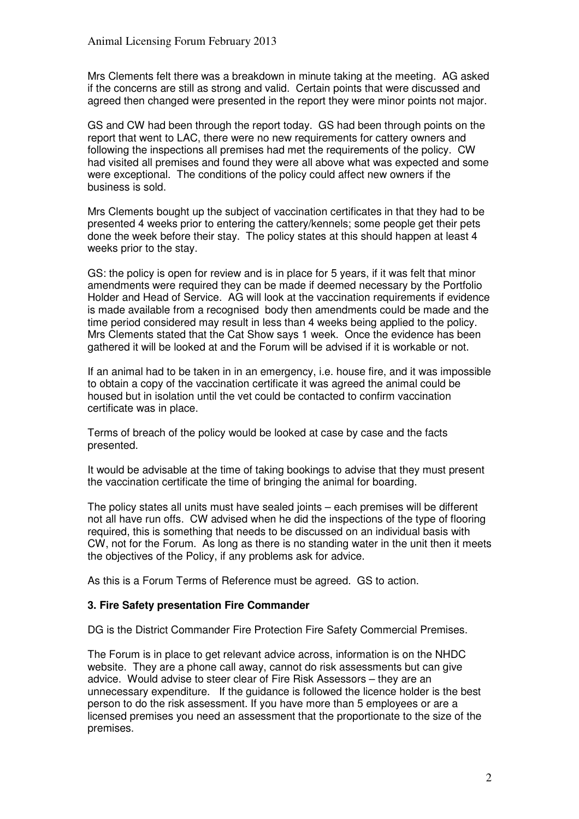Mrs Clements felt there was a breakdown in minute taking at the meeting. AG asked if the concerns are still as strong and valid. Certain points that were discussed and agreed then changed were presented in the report they were minor points not major.

GS and CW had been through the report today. GS had been through points on the report that went to LAC, there were no new requirements for cattery owners and following the inspections all premises had met the requirements of the policy. CW had visited all premises and found they were all above what was expected and some were exceptional. The conditions of the policy could affect new owners if the business is sold.

Mrs Clements bought up the subject of vaccination certificates in that they had to be presented 4 weeks prior to entering the cattery/kennels; some people get their pets done the week before their stay. The policy states at this should happen at least 4 weeks prior to the stay.

GS: the policy is open for review and is in place for 5 years, if it was felt that minor amendments were required they can be made if deemed necessary by the Portfolio Holder and Head of Service. AG will look at the vaccination requirements if evidence is made available from a recognised body then amendments could be made and the time period considered may result in less than 4 weeks being applied to the policy. Mrs Clements stated that the Cat Show says 1 week. Once the evidence has been gathered it will be looked at and the Forum will be advised if it is workable or not.

If an animal had to be taken in in an emergency, i.e. house fire, and it was impossible to obtain a copy of the vaccination certificate it was agreed the animal could be housed but in isolation until the vet could be contacted to confirm vaccination certificate was in place.

Terms of breach of the policy would be looked at case by case and the facts presented.

It would be advisable at the time of taking bookings to advise that they must present the vaccination certificate the time of bringing the animal for boarding.

The policy states all units must have sealed joints – each premises will be different not all have run offs. CW advised when he did the inspections of the type of flooring required, this is something that needs to be discussed on an individual basis with CW, not for the Forum. As long as there is no standing water in the unit then it meets the objectives of the Policy, if any problems ask for advice.

As this is a Forum Terms of Reference must be agreed. GS to action.

# **3. Fire Safety presentation Fire Commander**

DG is the District Commander Fire Protection Fire Safety Commercial Premises.

The Forum is in place to get relevant advice across, information is on the NHDC website. They are a phone call away, cannot do risk assessments but can give advice. Would advise to steer clear of Fire Risk Assessors – they are an unnecessary expenditure. If the guidance is followed the licence holder is the best person to do the risk assessment. If you have more than 5 employees or are a licensed premises you need an assessment that the proportionate to the size of the premises.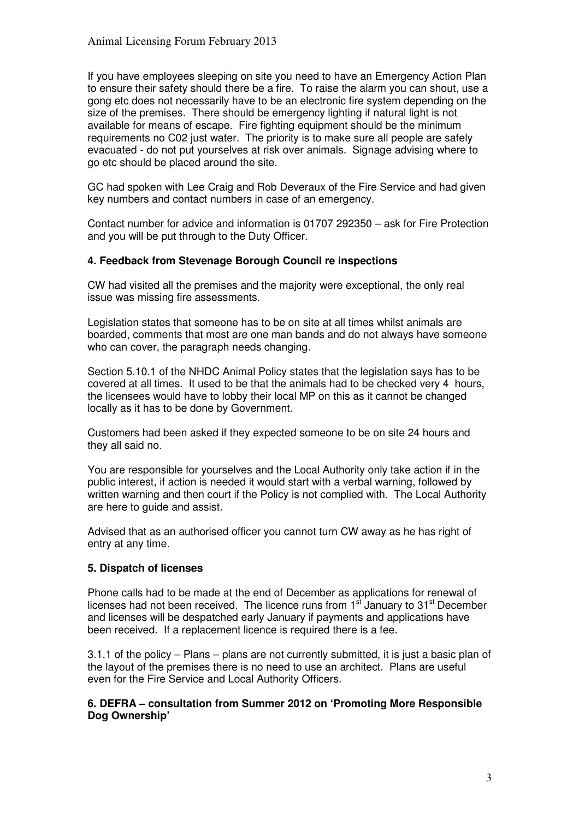If you have employees sleeping on site you need to have an Emergency Action Plan to ensure their safety should there be a fire. To raise the alarm you can shout, use a gong etc does not necessarily have to be an electronic fire system depending on the size of the premises. There should be emergency lighting if natural light is not available for means of escape. Fire fighting equipment should be the minimum requirements no C02 just water. The priority is to make sure all people are safely evacuated - do not put yourselves at risk over animals. Signage advising where to go etc should be placed around the site.

GC had spoken with Lee Craig and Rob Deveraux of the Fire Service and had given key numbers and contact numbers in case of an emergency.

Contact number for advice and information is 01707 292350 – ask for Fire Protection and you will be put through to the Duty Officer.

#### **4. Feedback from Stevenage Borough Council re inspections**

CW had visited all the premises and the majority were exceptional, the only real issue was missing fire assessments.

Legislation states that someone has to be on site at all times whilst animals are boarded, comments that most are one man bands and do not always have someone who can cover, the paragraph needs changing.

Section 5.10.1 of the NHDC Animal Policy states that the legislation says has to be covered at all times. It used to be that the animals had to be checked very 4 hours, the licensees would have to lobby their local MP on this as it cannot be changed locally as it has to be done by Government.

Customers had been asked if they expected someone to be on site 24 hours and they all said no.

You are responsible for yourselves and the Local Authority only take action if in the public interest, if action is needed it would start with a verbal warning, followed by written warning and then court if the Policy is not complied with. The Local Authority are here to guide and assist.

Advised that as an authorised officer you cannot turn CW away as he has right of entry at any time.

# **5. Dispatch of licenses**

Phone calls had to be made at the end of December as applications for renewal of licenses had not been received. The licence runs from 1<sup>st</sup> January to 31<sup>st</sup> December and licenses will be despatched early January if payments and applications have been received. If a replacement licence is required there is a fee.

3.1.1 of the policy – Plans – plans are not currently submitted, it is just a basic plan of the layout of the premises there is no need to use an architect. Plans are useful even for the Fire Service and Local Authority Officers.

#### **6. DEFRA – consultation from Summer 2012 on 'Promoting More Responsible Dog Ownership'**